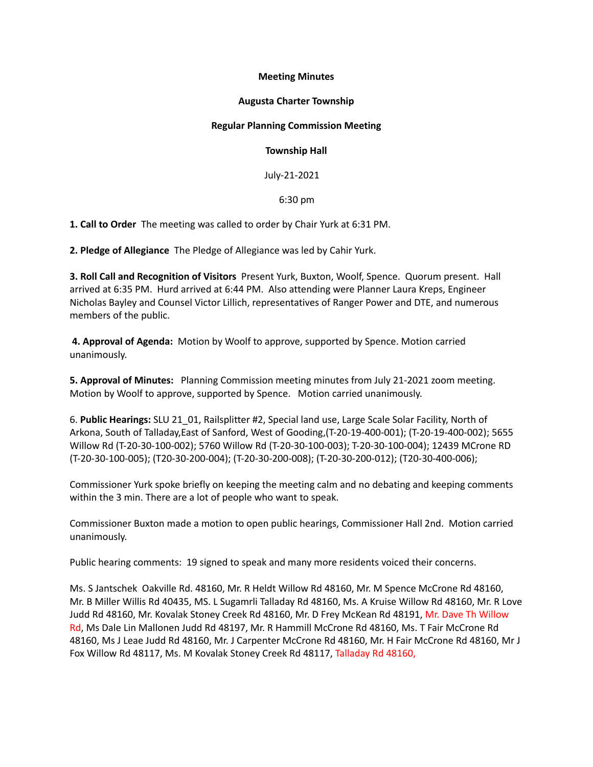# **Meeting Minutes**

# **Augusta Charter Township**

# **Regular Planning Commission Meeting**

## **Township Hall**

July-21-2021

# 6:30 pm

**1. Call to Order** The meeting was called to order by Chair Yurk at 6:31 PM.

**2. Pledge of Allegiance** The Pledge of Allegiance was led by Cahir Yurk.

**3. Roll Call and Recognition of Visitors** Present Yurk, Buxton, Woolf, Spence. Quorum present. Hall arrived at 6:35 PM. Hurd arrived at 6:44 PM. Also attending were Planner Laura Kreps, Engineer Nicholas Bayley and Counsel Victor Lillich, representatives of Ranger Power and DTE, and numerous members of the public.

**4. Approval of Agenda:** Motion by Woolf to approve, supported by Spence. Motion carried unanimously.

**5. Approval of Minutes:** Planning Commission meeting minutes from July 21-2021 zoom meeting. Motion by Woolf to approve, supported by Spence. Motion carried unanimously.

6. **Public Hearings:** SLU 21\_01, Railsplitter #2, Special land use, Large Scale Solar Facility, North of Arkona, South of Talladay,East of Sanford, West of Gooding,(T-20-19-400-001); (T-20-19-400-002); 5655 Willow Rd (T-20-30-100-002); 5760 Willow Rd (T-20-30-100-003); T-20-30-100-004); 12439 MCrone RD (T-20-30-100-005); (T20-30-200-004); (T-20-30-200-008); (T-20-30-200-012); (T20-30-400-006);

Commissioner Yurk spoke briefly on keeping the meeting calm and no debating and keeping comments within the 3 min. There are a lot of people who want to speak.

Commissioner Buxton made a motion to open public hearings, Commissioner Hall 2nd. Motion carried unanimously.

Public hearing comments: 19 signed to speak and many more residents voiced their concerns.

Ms. S Jantschek Oakville Rd. 48160, Mr. R Heldt Willow Rd 48160, Mr. M Spence McCrone Rd 48160, Mr. B Miller Willis Rd 40435, MS. L Sugamrli Talladay Rd 48160, Ms. A Kruise Willow Rd 48160, Mr. R Love Judd Rd 48160, Mr. Kovalak Stoney Creek Rd 48160, Mr. D Frey McKean Rd 48191, Mr. Dave Th Willow Rd, Ms Dale Lin Mallonen Judd Rd 48197, Mr. R Hammill McCrone Rd 48160, Ms. T Fair McCrone Rd 48160, Ms J Leae Judd Rd 48160, Mr. J Carpenter McCrone Rd 48160, Mr. H Fair McCrone Rd 48160, Mr J Fox Willow Rd 48117, Ms. M Kovalak Stoney Creek Rd 48117, Talladay Rd 48160,